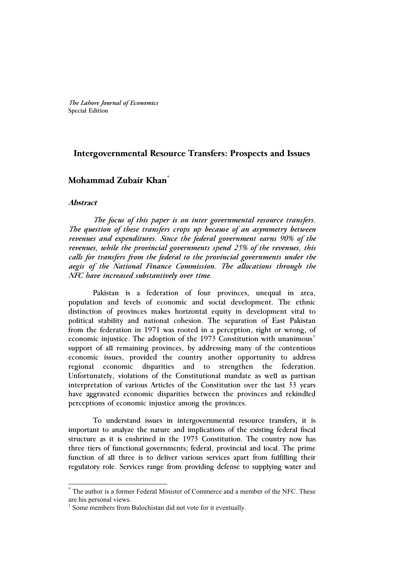*The Lahore Journal of Economics* Special Edition

# **Intergovernmental Resource Transfers: Prospects and Issues**

# **Mohammad Zubair Khan\***

## **Abstract**

l

 *The focus of this paper is on inter governmental resource transfers. The question of these transfers crops up because of an asymmetry between revenues and expenditures. Since the federal government earns 90% of the revenues, while the provincial governments spend 25% of the revenues, this calls for transfers from the federal to the provincial governments under the aegis of the National Finance Commission. The allocations through the NFC have increased substantively over time.* 

Pakistan is a federation of four provinces, unequal in area, population and levels of economic and social development. The ethnic distinction of provinces makes horizontal equity in development vital to political stability and national cohesion. The separation of East Pakistan from the federation in 1971 was rooted in a perception, right or wrong, of economic injustice. The adoption of the  $1973$  Constitution with unanimous<sup>1</sup> support of all remaining provinces, by addressing many of the contentious economic issues, provided the country another opportunity to address regional economic disparities and to strengthen the federation. Unfortunately, violations of the Constitutional mandate as well as partisan interpretation of various Articles of the Constitution over the last 33 years have aggravated economic disparities between the provinces and rekindled perceptions of economic injustice among the provinces.

To understand issues in intergovernmental resource transfers, it is important to analyze the nature and implications of the existing federal fiscal structure as it is enshrined in the 1973 Constitution. The country now has three tiers of functional governments; federal, provincial and local. The prime function of all three is to deliver various services apart from fulfilling their regulatory role. Services range from providing defense to supplying water and

<sup>\*</sup> The author is a former Federal Minister of Commerce and a member of the NFC. These are his personal views.

<sup>&</sup>lt;sup>1</sup> Some members from Balochistan did not vote for it eventually.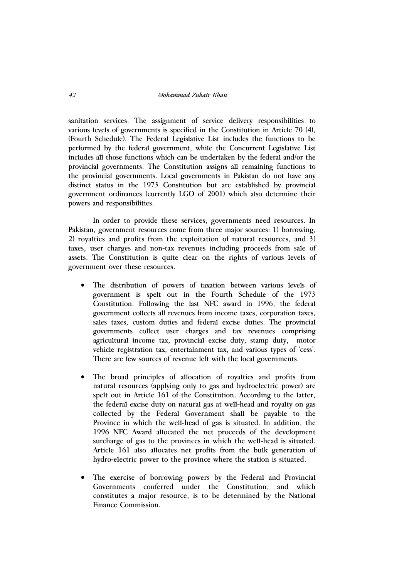sanitation services. The assignment of service delivery responsibilities to various levels of governments is specified in the Constitution in Article 70 (4), (Fourth Schedule). The Federal Legislative List includes the functions to be performed by the federal government, while the Concurrent Legislative List includes all those functions which can be undertaken by the federal and/or the provincial governments. The Constitution assigns all remaining functions to the provincial governments. Local governments in Pakistan do not have any distinct status in the 1973 Constitution but are established by provincial government ordinances (currently LGO of 2001) which also determine their powers and responsibilities.

In order to provide these services, governments need resources. In Pakistan, government resources come from three major sources: 1) borrowing, 2) royalties and profits from the exploitation of natural resources, and 3) taxes, user charges and non-tax revenues including proceeds from sale of assets. The Constitution is quite clear on the rights of various levels of government over these resources.

- $\bullet$  The distribution of powers of taxation between various levels of government is spelt out in the Fourth Schedule of the 1973 Constitution. Following the last NFC award in 1996, the federal government collects all revenues from income taxes, corporation taxes, sales taxes, custom duties and federal excise duties. The provincial governments collect user charges and tax revenues comprising agricultural income tax, provincial excise duty, stamp duty, motor vehicle registration tax, entertainment tax, and various types of 'cess'. There are few sources of revenue left with the local governments.
- $\bullet$  The broad principles of allocation of royalties and profits from natural resources (applying only to gas and hydroelectric power) are spelt out in Article 161 of the Constitution. According to the latter, the federal excise duty on natural gas at well-head and royalty on gas collected by the Federal Government shall be payable to the Province in which the well-head of gas is situated. In addition, the 1996 NFC Award allocated the net proceeds of the development surcharge of gas to the provinces in which the well-head is situated. Article 161 also allocates net profits from the bulk generation of hydro-electric power to the province where the station is situated.
- $\bullet$  The exercise of borrowing powers by the Federal and Provincial Governments conferred under the Constitution, and which constitutes a major resource, is to be determined by the National Finance Commission.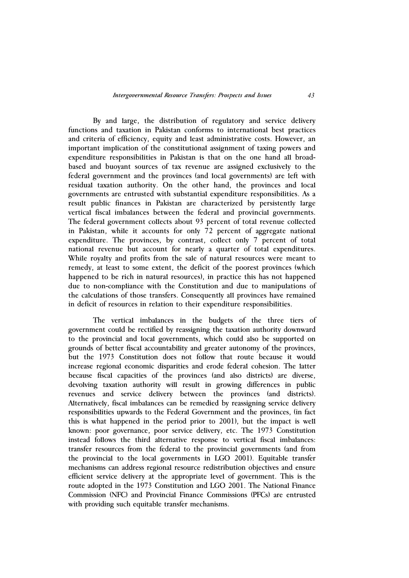By and large, the distribution of regulatory and service delivery functions and taxation in Pakistan conforms to international best practices and criteria of efficiency, equity and least administrative costs. However, an important implication of the constitutional assignment of taxing powers and expenditure responsibilities in Pakistan is that on the one hand all broadbased and buoyant sources of tax revenue are assigned exclusively to the federal government and the provinces (and local governments) are left with residual taxation authority. On the other hand, the provinces and local governments are entrusted with substantial expenditure responsibilities. As a result public finances in Pakistan are characterized by persistently large vertical fiscal imbalances between the federal and provincial governments. The federal government collects about 93 percent of total revenue collected in Pakistan, while it accounts for only  $\overline{72}$  percent of aggregate national expenditure. The provinces, by contrast, collect only 7 percent of total national revenue but account for nearly a quarter of total expenditures. While royalty and profits from the sale of natural resources were meant to remedy, at least to some extent, the deficit of the poorest provinces (which happened to be rich in natural resources), in practice this has not happened due to non-compliance with the Constitution and due to manipulations of the calculations of those transfers. Consequently all provinces have remained in deficit of resources in relation to their expenditure responsibilities.

The vertical imbalances in the budgets of the three tiers of government could be rectified by reassigning the taxation authority downward to the provincial and local governments, which could also be supported on grounds of better fiscal accountability and greater autonomy of the provinces, but the 1973 Constitution does not follow that route because it would increase regional economic disparities and erode federal cohesion. The latter because fiscal capacities of the provinces (and also districts) are diverse, devolving taxation authority will result in growing differences in public revenues and service delivery between the provinces (and districts). Alternatively, fiscal imbalances can be remedied by reassigning service delivery responsibilities upwards to the Federal Government and the provinces, (in fact this is what happened in the period prior to 2001), but the impact is well known: poor governance, poor service delivery, etc. The 1973 Constitution instead follows the third alternative response to vertical fiscal imbalances: transfer resources from the federal to the provincial governments (and from the provincial to the local governments in LGO 2001). Equitable transfer mechanisms can address regional resource redistribution objectives and ensure efficient service delivery at the appropriate level of government. This is the route adopted in the 1973 Constitution and LGO 2001. The National Finance Commission (NFC) and Provincial Finance Commissions (PFCs) are entrusted with providing such equitable transfer mechanisms.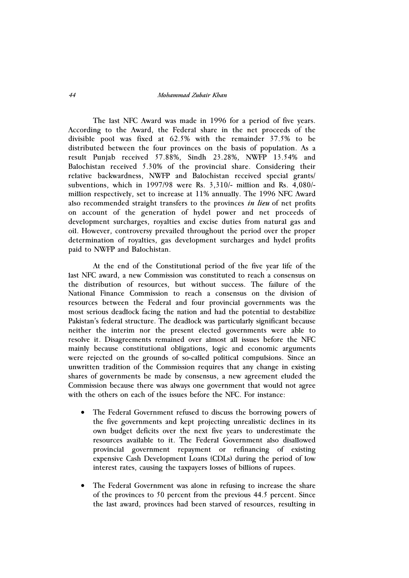### *44 Mohammad Zubair Khan*

The last NFC Award was made in 1996 for a period of five years. According to the Award, the Federal share in the net proceeds of the divisible pool was fixed at 62.5% with the remainder 37.5% to be distributed between the four provinces on the basis of population. As a result Punjab received 57.88%, Sindh 23.28%, NWFP 13.54% and Balochistan received 5.30% of the provincial share. Considering their relative backwardness, NWFP and Balochistan received special grants/ subventions, which in 1997/98 were Rs. 3,310/- million and Rs. 4,080/ million respectively, set to increase at 11% annually. The 1996 NFC Award also recommended straight transfers to the provinces *in lieu* of net profits on account of the generation of hydel power and net proceeds of development surcharges, royalties and excise duties from natural gas and oil. However, controversy prevailed throughout the period over the proper determination of royalties, gas development surcharges and hydel profits paid to NWFP and Balochistan.

At the end of the Constitutional period of the five year life of the last NFC award, a new Commission was constituted to reach a consensus on the distribution of resources, but without success. The failure of the National Finance Commission to reach a consensus on the division of resources between the Federal and four provincial governments was the most serious deadlock facing the nation and had the potential to destabilize Pakistan's federal structure. The deadlock was particularly significant because neither the interim nor the present elected governments were able to resolve it. Disagreements remained over almost all issues before the NFC mainly because constitutional obligations, logic and economic arguments were rejected on the grounds of so-called political compulsions. Since an unwritten tradition of the Commission requires that any change in existing shares of governments be made by consensus, a new agreement eluded the Commission because there was always one government that would not agree with the others on each of the issues before the NFC. For instance:

- $\bullet$  The Federal Government refused to discuss the borrowing powers of the five governments and kept projecting unrealistic declines in its own budget deficits over the next five years to underestimate the resources available to it. The Federal Government also disallowed provincial government repayment or refinancing of existing expensive Cash Development Loans (CDLs) during the period of low interest rates, causing the taxpayers losses of billions of rupees.
- $\bullet$  The Federal Government was alone in refusing to increase the share of the provinces to 50 percent from the previous 44.5 percent. Since the last award, provinces had been starved of resources, resulting in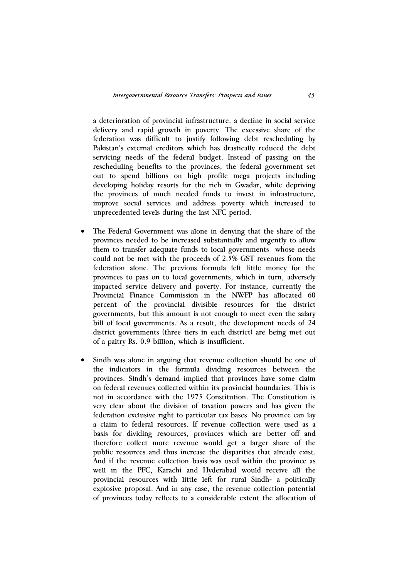a deterioration of provincial infrastructure, a decline in social service delivery and rapid growth in poverty. The excessive share of the federation was difficult to justify following debt rescheduling by Pakistan's external creditors which has drastically reduced the debt servicing needs of the federal budget. Instead of passing on the rescheduling benefits to the provinces, the federal government set out to spend billions on high profile mega projects including developing holiday resorts for the rich in Gwadar, while depriving the provinces of much needed funds to invest in infrastructure, improve social services and address poverty which increased to unprecedented levels during the last NFC period.

- $\bullet$  The Federal Government was alone in denying that the share of the provinces needed to be increased substantially and urgently to allow them to transfer adequate funds to local governments whose needs could not be met with the proceeds of 2.5% GST revenues from the federation alone. The previous formula left little money for the provinces to pass on to local governments, which in turn, adversely impacted service delivery and poverty. For instance, currently the Provincial Finance Commission in the NWFP has allocated 60 percent of the provincial divisible resources for the district governments, but this amount is not enough to meet even the salary bill of local governments. As a result, the development needs of 24 district governments (three tiers in each district) are being met out of a paltry Rs. 0.9 billion, which is insufficient.
- $\bullet$  Sindh was alone in arguing that revenue collection should be one of the indicators in the formula dividing resources between the provinces. Sindh's demand implied that provinces have some claim on federal revenues collected within its provincial boundaries. This is not in accordance with the 1973 Constitution. The Constitution is very clear about the division of taxation powers and has given the federation exclusive right to particular tax bases. No province can lay a claim to federal resources. If revenue collection were used as a basis for dividing resources, provinces which are better off and therefore collect more revenue would get a larger share of the public resources and thus increase the disparities that already exist. And if the revenue collection basis was used within the province as well in the PFC, Karachi and Hyderabad would receive all the provincial resources with little left for rural Sindh- a politically explosive proposal. And in any case, the revenue collection potential of provinces today reflects to a considerable extent the allocation of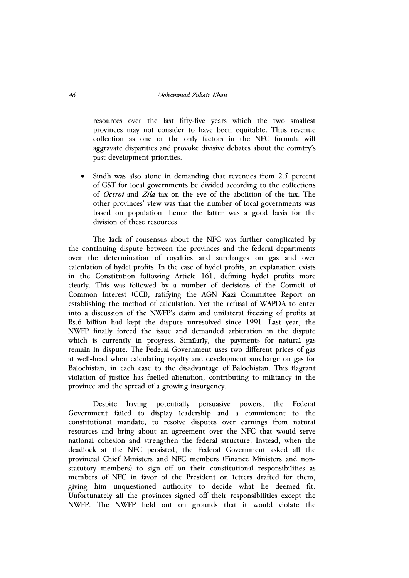resources over the last fifty-five years which the two smallest provinces may not consider to have been equitable. Thus revenue collection as one or the only factors in the NFC formula will aggravate disparities and provoke divisive debates about the country's past development priorities.

 $\bullet$  Sindh was also alone in demanding that revenues from 2.5 percent of GST for local governments be divided according to the collections of *Octroi* and *Zila* tax on the eve of the abolition of the tax. The other provinces' view was that the number of local governments was based on population, hence the latter was a good basis for the division of these resources.

The lack of consensus about the NFC was further complicated by the continuing dispute between the provinces and the federal departments over the determination of royalties and surcharges on gas and over calculation of hydel profits. In the case of hydel profits, an explanation exists in the Constitution following Article 161, defining hydel profits more clearly. This was followed by a number of decisions of the Council of Common Interest (CCI), ratifying the AGN Kazi Committee Report on establishing the method of calculation. Yet the refusal of WAPDA to enter into a discussion of the NWFP's claim and unilateral freezing of profits at Rs.6 billion had kept the dispute unresolved since 1991. Last year, the NWFP finally forced the issue and demanded arbitration in the dispute which is currently in progress. Similarly, the payments for natural gas remain in dispute. The Federal Government uses two different prices of gas at well-head when calculating royalty and development surcharge on gas for Balochistan, in each case to the disadvantage of Balochistan. This flagrant violation of justice has fuelled alienation, contributing to militancy in the province and the spread of a growing insurgency.

Despite having potentially persuasive powers, the Federal Government failed to display leadership and a commitment to the constitutional mandate, to resolve disputes over earnings from natural resources and bring about an agreement over the NFC that would serve national cohesion and strengthen the federal structure. Instead, when the deadlock at the NFC persisted, the Federal Government asked all the provincial Chief Ministers and NFC members (Finance Ministers and nonstatutory members) to sign off on their constitutional responsibilities as members of NFC in favor of the President on letters drafted for them, giving him unquestioned authority to decide what he deemed fit. Unfortunately all the provinces signed off their responsibilities except the NWFP. The NWFP held out on grounds that it would violate the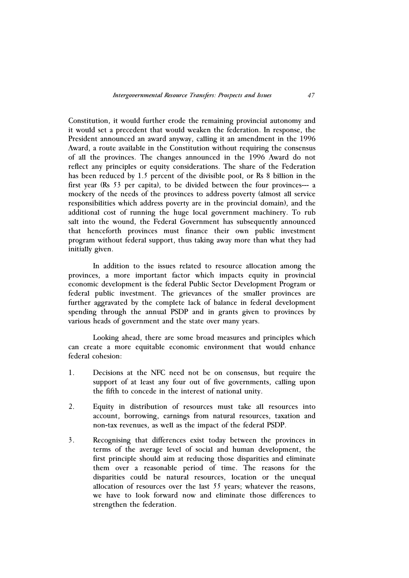Constitution, it would further erode the remaining provincial autonomy and it would set a precedent that would weaken the federation. In response, the President announced an award anyway, calling it an amendment in the 1996 Award, a route available in the Constitution without requiring the consensus of all the provinces. The changes announced in the 1996 Award do not reflect any principles or equity considerations. The share of the Federation has been reduced by 1.5 percent of the divisible pool, or Rs 8 billion in the first year (Rs 53 per capita), to be divided between the four provinces--- a mockery of the needs of the provinces to address poverty (almost all service responsibilities which address poverty are in the provincial domain), and the additional cost of running the huge local government machinery. To rub salt into the wound, the Federal Government has subsequently announced that henceforth provinces must finance their own public investment program without federal support, thus taking away more than what they had initially given.

In addition to the issues related to resource allocation among the provinces, a more important factor which impacts equity in provincial economic development is the federal Public Sector Development Program or federal public investment. The grievances of the smaller provinces are further aggravated by the complete lack of balance in federal development spending through the annual PSDP and in grants given to provinces by various heads of government and the state over many years.

Looking ahead, there are some broad measures and principles which can create a more equitable economic environment that would enhance federal cohesion:

- 1. Decisions at the NFC need not be on consensus, but require the support of at least any four out of five governments, calling upon the fifth to concede in the interest of national unity.
- 2. Equity in distribution of resources must take all resources into account, borrowing, earnings from natural resources, taxation and non-tax revenues, as well as the impact of the federal PSDP.
- 3. Recognising that differences exist today between the provinces in terms of the average level of social and human development, the first principle should aim at reducing those disparities and eliminate them over a reasonable period of time. The reasons for the disparities could be natural resources, location or the unequal allocation of resources over the last 55 years; whatever the reasons, we have to look forward now and eliminate those differences to strengthen the federation.